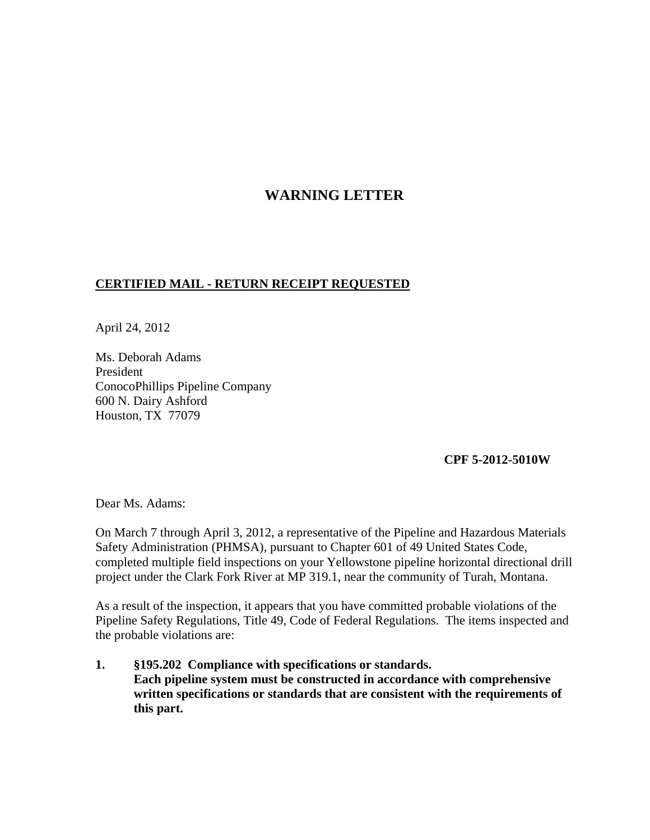## **WARNING LETTER**

## **CERTIFIED MAIL - RETURN RECEIPT REQUESTED**

April 24, 2012

Ms. Deborah Adams President ConocoPhillips Pipeline Company 600 N. Dairy Ashford Houston, TX 77079

**CPF 5-2012-5010W**

Dear Ms. Adams:

On March 7 through April 3, 2012, a representative of the Pipeline and Hazardous Materials Safety Administration (PHMSA), pursuant to Chapter 601 of 49 United States Code, completed multiple field inspections on your Yellowstone pipeline horizontal directional drill project under the Clark Fork River at MP 319.1, near the community of Turah, Montana.

As a result of the inspection, it appears that you have committed probable violations of the Pipeline Safety Regulations, Title 49, Code of Federal Regulations. The items inspected and the probable violations are:

**1. §195.202 Compliance with specifications or standards. Each pipeline system must be constructed in accordance with comprehensive written specifications or standards that are consistent with the requirements of this part.**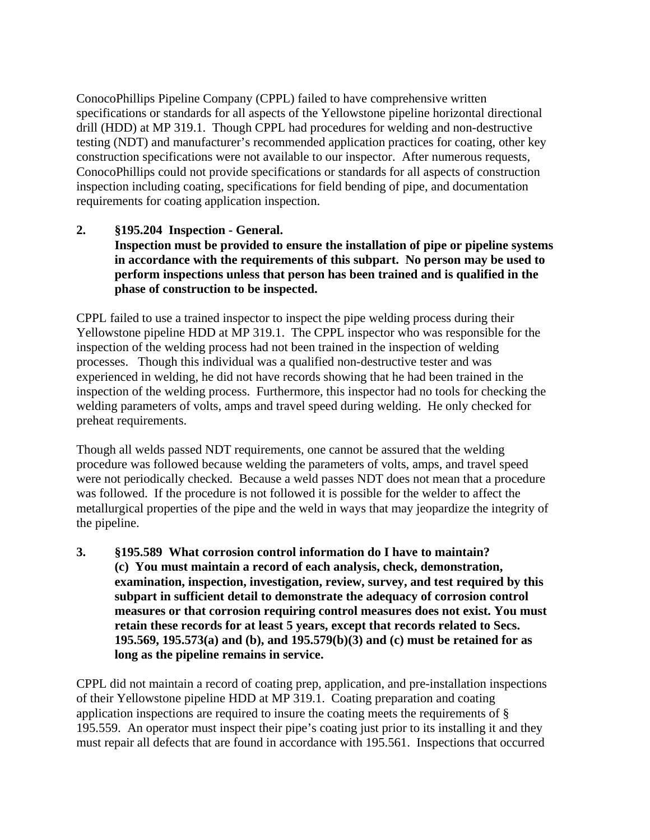ConocoPhillips Pipeline Company (CPPL) failed to have comprehensive written specifications or standards for all aspects of the Yellowstone pipeline horizontal directional drill (HDD) at MP 319.1. Though CPPL had procedures for welding and non-destructive testing (NDT) and manufacturer's recommended application practices for coating, other key construction specifications were not available to our inspector. After numerous requests, ConocoPhillips could not provide specifications or standards for all aspects of construction inspection including coating, specifications for field bending of pipe, and documentation requirements for coating application inspection.

## **2. §195.204 Inspection - General.**

## **Inspection must be provided to ensure the installation of pipe or pipeline systems in accordance with the requirements of this subpart. No person may be used to perform inspections unless that person has been trained and is qualified in the phase of construction to be inspected.**

CPPL failed to use a trained inspector to inspect the pipe welding process during their Yellowstone pipeline HDD at MP 319.1. The CPPL inspector who was responsible for the inspection of the welding process had not been trained in the inspection of welding processes. Though this individual was a qualified non-destructive tester and was experienced in welding, he did not have records showing that he had been trained in the inspection of the welding process. Furthermore, this inspector had no tools for checking the welding parameters of volts, amps and travel speed during welding. He only checked for preheat requirements.

Though all welds passed NDT requirements, one cannot be assured that the welding procedure was followed because welding the parameters of volts, amps, and travel speed were not periodically checked. Because a weld passes NDT does not mean that a procedure was followed. If the procedure is not followed it is possible for the welder to affect the metallurgical properties of the pipe and the weld in ways that may jeopardize the integrity of the pipeline.

**3. §195.589 What corrosion control information do I have to maintain? (c) You must maintain a record of each analysis, check, demonstration, examination, inspection, investigation, review, survey, and test required by this subpart in sufficient detail to demonstrate the adequacy of corrosion control measures or that corrosion requiring control measures does not exist. You must retain these records for at least 5 years, except that records related to Secs. 195.569, 195.573(a) and (b), and 195.579(b)(3) and (c) must be retained for as long as the pipeline remains in service.**

CPPL did not maintain a record of coating prep, application, and pre-installation inspections of their Yellowstone pipeline HDD at MP 319.1. Coating preparation and coating application inspections are required to insure the coating meets the requirements of § 195.559. An operator must inspect their pipe's coating just prior to its installing it and they must repair all defects that are found in accordance with 195.561. Inspections that occurred